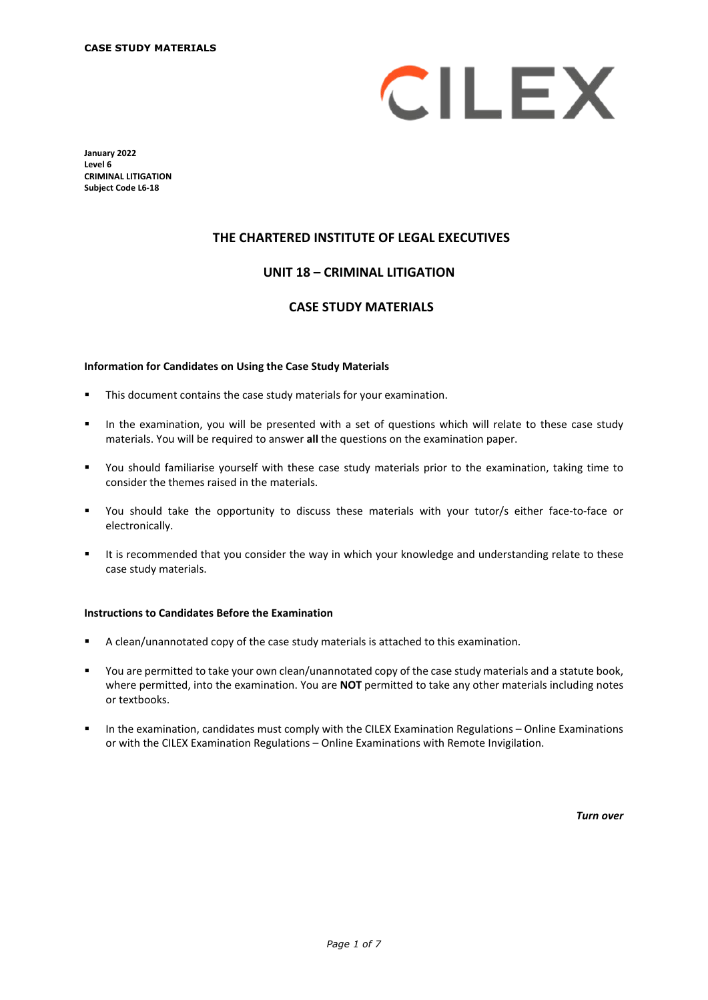

**January 2022 Level 6 CRIMINAL LITIGATION Subject Code L6-18**

### **THE CHARTERED INSTITUTE OF LEGAL EXECUTIVES**

### **UNIT 18 – CRIMINAL LITIGATION\***

### **CASE STUDY MATERIALS**

#### **Information for Candidates on Using the Case Study Materials**

- **This document contains the case study materials for your examination.**
- In the examination, you will be presented with a set of questions which will relate to these case study materials. You will be required to answer **all** the questions on the examination paper.
- You should familiarise yourself with these case study materials prior to the examination, taking time to consider the themes raised in the materials.
- You should take the opportunity to discuss these materials with your tutor/s either face-to-face or electronically.
- It is recommended that you consider the way in which your knowledge and understanding relate to these case study materials.

#### **Instructions to Candidates Before the Examination**

- A clean/unannotated copy of the case study materials is attached to this examination.
- You are permitted to take your own clean/unannotated copy of the case study materials and a statute book, where permitted, into the examination. You are **NOT** permitted to take any other materials including notes or textbooks.
- **In the examination, candidates must comply with the CILEX Examination Regulations Online Examinations** or with the CILEX Examination Regulations – Online Examinations with Remote Invigilation.

*Turn over*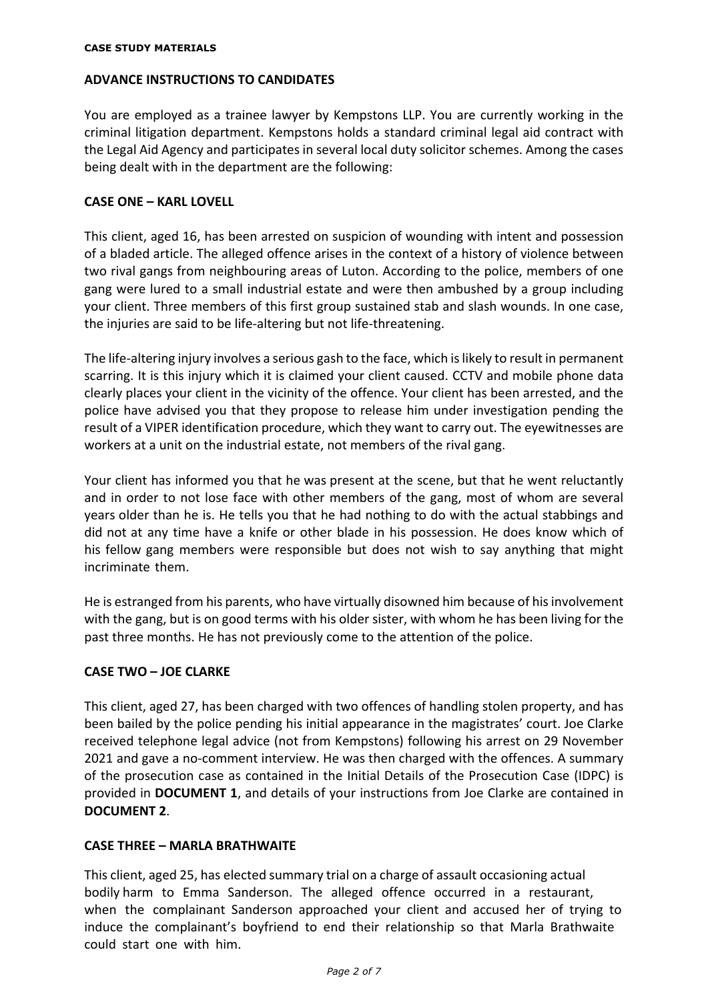## **ADVANCE INSTRUCTIONS TO CANDIDATES**

You are employed as a trainee lawyer by Kempstons LLP. You are currently working in the criminal litigation department. Kempstons holds a standard criminal legal aid contract with the Legal Aid Agency and participates in several local duty solicitor schemes. Among the cases being dealt with in the department are the following:

# **CASE ONE – KARL LOVELL**

This client, aged 16, has been arrested on suspicion of wounding with intent and possession of a bladed article. The alleged offence arises in the context of a history of violence between two rival gangs from neighbouring areas of Luton. According to the police, members of one gang were lured to a small industrial estate and were then ambushed by a group including your client. Three members of this first group sustained stab and slash wounds. In one case, the injuries are said to be life-altering but not life-threatening.

The life-altering injury involves a serious gash to the face, which is likely to result in permanent scarring. It is this injury which it is claimed your client caused. CCTV and mobile phone data clearly places your client in the vicinity of the offence. Your client has been arrested, and the police have advised you that they propose to release him under investigation pending the result of a VIPER identification procedure, which they want to carry out. The eyewitnesses are workers at a unit on the industrial estate, not members of the rival gang.

Your client has informed you that he was present at the scene, but that he went reluctantly and in order to not lose face with other members of the gang, most of whom are several years older than he is. He tells you that he had nothing to do with the actual stabbings and did not at any time have a knife or other blade in his possession. He does know which of his fellow gang members were responsible but does not wish to say anything that might incriminate them.

He is estranged from his parents, who have virtually disowned him because of his involvement with the gang, but is on good terms with his older sister, with whom he has been living for the past three months. He has not previously come to the attention of the police.

## **CASE TWO – JOE CLARKE**

This client, aged 27, has been charged with two offences of handling stolen property, and has been bailed by the police pending his initial appearance in the magistrates' court. Joe Clarke received telephone legal advice (not from Kempstons) following his arrest on 29 November 2021 and gave a no-comment interview. He was then charged with the offences. A summary of the prosecution case as contained in the Initial Details of the Prosecution Case (IDPC) is provided in **DOCUMENT 1**, and details of your instructions from Joe Clarke are contained in **DOCUMENT 2**.

## **CASE THREE – MARLA BRATHWAITE**

This client, aged 25, has elected summary trial on a charge of assault occasioning actual bodily harm to Emma Sanderson. The alleged offence occurred in a restaurant, when the complainant Sanderson approached your client and accused her of trying to induce the complainant's boyfriend to end their relationship so that Marla Brathwaite could start one with him.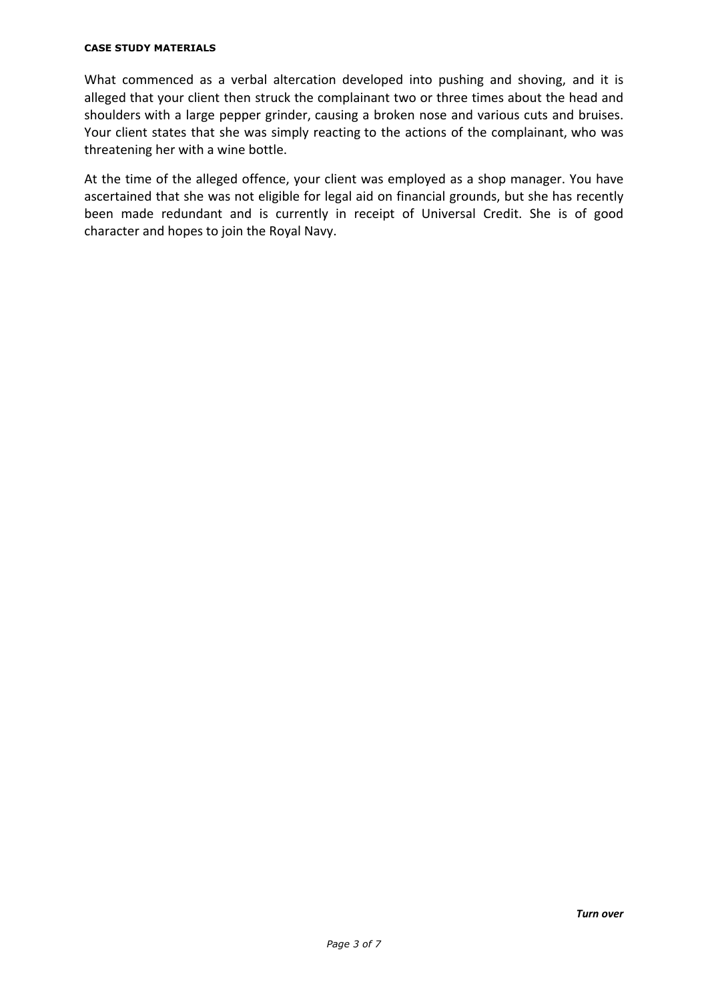### **CASE STUDY MATERIALS**

What commenced as a verbal altercation developed into pushing and shoving, and it is alleged that your client then struck the complainant two or three times about the head and shoulders with a large pepper grinder, causing a broken nose and various cuts and bruises. Your client states that she was simply reacting to the actions of the complainant, who was threatening her with a wine bottle.

At the time of the alleged offence, your client was employed as a shop manager. You have ascertained that she was not eligible for legal aid on financial grounds, but she has recently been made redundant and is currently in receipt of Universal Credit. She is of good character and hopes to join the Royal Navy.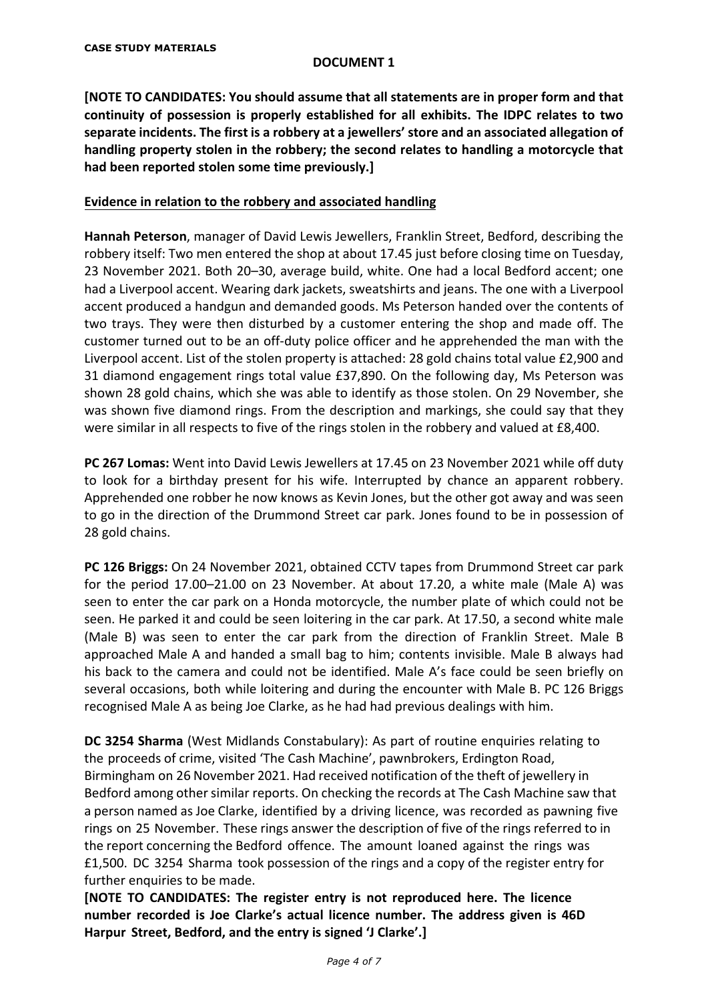### **DOCUMENT 1**

**[NOTE TO CANDIDATES: You should assume that all statements are in proper form and that continuity of possession is properly established for all exhibits. The IDPC relates to two separate incidents. The first is a robbery at a jewellers' store and an associated allegation of handling property stolen in the robbery; the second relates to handling a motorcycle that had been reported stolen some time previously.]** 

## **Evidence in relation to the robbery and associated handling**

**Hannah Peterson**, manager of David Lewis Jewellers, Franklin Street, Bedford, describing the robbery itself: Two men entered the shop at about 17.45 just before closing time on Tuesday, 23 November 2021. Both 20–30, average build, white. One had a local Bedford accent; one had a Liverpool accent. Wearing dark jackets, sweatshirts and jeans. The one with a Liverpool accent produced a handgun and demanded goods. Ms Peterson handed over the contents of two trays. They were then disturbed by a customer entering the shop and made off. The customer turned out to be an off-duty police officer and he apprehended the man with the Liverpool accent. List of the stolen property is attached: 28 gold chains total value £2,900 and 31 diamond engagement rings total value £37,890. On the following day, Ms Peterson was shown 28 gold chains, which she was able to identify as those stolen. On 29 November, she was shown five diamond rings. From the description and markings, she could say that they were similar in all respects to five of the rings stolen in the robbery and valued at £8,400.

**PC 267 Lomas:** Went into David Lewis Jewellers at 17.45 on 23 November 2021 while off duty to look for a birthday present for his wife. Interrupted by chance an apparent robbery. Apprehended one robber he now knows as Kevin Jones, but the other got away and was seen to go in the direction of the Drummond Street car park. Jones found to be in possession of 28 gold chains.

**PC 126 Briggs:** On 24 November 2021, obtained CCTV tapes from Drummond Street car park for the period 17.00–21.00 on 23 November. At about 17.20, a white male (Male A) was seen to enter the car park on a Honda motorcycle, the number plate of which could not be seen. He parked it and could be seen loitering in the car park. At 17.50, a second white male (Male B) was seen to enter the car park from the direction of Franklin Street. Male B approached Male A and handed a small bag to him; contents invisible. Male B always had his back to the camera and could not be identified. Male A's face could be seen briefly on several occasions, both while loitering and during the encounter with Male B. PC 126 Briggs recognised Male A as being Joe Clarke, as he had had previous dealings with him.

**DC 3254 Sharma** (West Midlands Constabulary): As part of routine enquiries relating to the proceeds of crime, visited 'The Cash Machine', pawnbrokers, Erdington Road, Birmingham on 26 November 2021. Had received notification of the theft of jewellery in Bedford among other similar reports. On checking the records at The Cash Machine saw that a person named as Joe Clarke, identified by a driving licence, was recorded as pawning five rings on 25 November. These rings answer the description of five of the rings referred to in the report concerning the Bedford offence. The amount loaned against the rings was £1,500. DC 3254 Sharma took possession of the rings and a copy of the register entry for further enquiries to be made.

**[NOTE TO CANDIDATES: The register entry is not reproduced here. The licence number recorded is Joe Clarke's actual licence number. The address given is 46D Harpur Street, Bedford, and the entry is signed 'J Clarke'.]**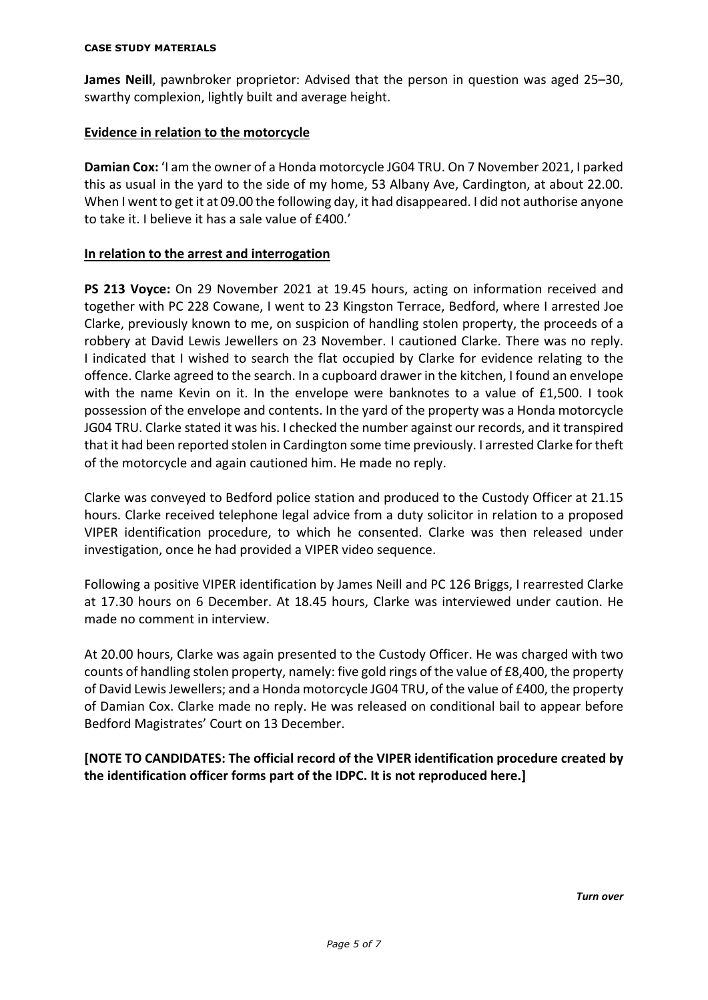#### **CASE STUDY MATERIALS**

**James Neill**, pawnbroker proprietor: Advised that the person in question was aged 25–30, swarthy complexion, lightly built and average height.

# **Evidence in relation to the motorcycle**

**Damian Cox:** 'I am the owner of a Honda motorcycle JG04 TRU. On 7 November 2021, I parked this as usual in the yard to the side of my home, 53 Albany Ave, Cardington, at about 22.00. When I went to get it at 09.00 the following day, it had disappeared. I did not authorise anyone to take it. I believe it has a sale value of £400.'

# **In relation to the arrest and interrogation**

**PS 213 Voyce:** On 29 November 2021 at 19.45 hours, acting on information received and together with PC 228 Cowane, I went to 23 Kingston Terrace, Bedford, where I arrested Joe Clarke, previously known to me, on suspicion of handling stolen property, the proceeds of a robbery at David Lewis Jewellers on 23 November. I cautioned Clarke. There was no reply. I indicated that I wished to search the flat occupied by Clarke for evidence relating to the offence. Clarke agreed to the search. In a cupboard drawer in the kitchen, I found an envelope with the name Kevin on it. In the envelope were banknotes to a value of £1,500. I took possession of the envelope and contents. In the yard of the property was a Honda motorcycle JG04 TRU. Clarke stated it was his. I checked the number against our records, and it transpired that it had been reported stolen in Cardington some time previously. I arrested Clarke for theft of the motorcycle and again cautioned him. He made no reply.

Clarke was conveyed to Bedford police station and produced to the Custody Officer at 21.15 hours. Clarke received telephone legal advice from a duty solicitor in relation to a proposed VIPER identification procedure, to which he consented. Clarke was then released under investigation, once he had provided a VIPER video sequence.

Following a positive VIPER identification by James Neill and PC 126 Briggs, I rearrested Clarke at 17.30 hours on 6 December. At 18.45 hours, Clarke was interviewed under caution. He made no comment in interview.

At 20.00 hours, Clarke was again presented to the Custody Officer. He was charged with two counts of handling stolen property, namely: five gold rings of the value of £8,400, the property of David Lewis Jewellers; and a Honda motorcycle JG04 TRU, of the value of £400, the property of Damian Cox. Clarke made no reply. He was released on conditional bail to appear before Bedford Magistrates' Court on 13 December.

**[NOTE TO CANDIDATES: The official record of the VIPER identification procedure created by the identification officer forms part of the IDPC. It is not reproduced here.]**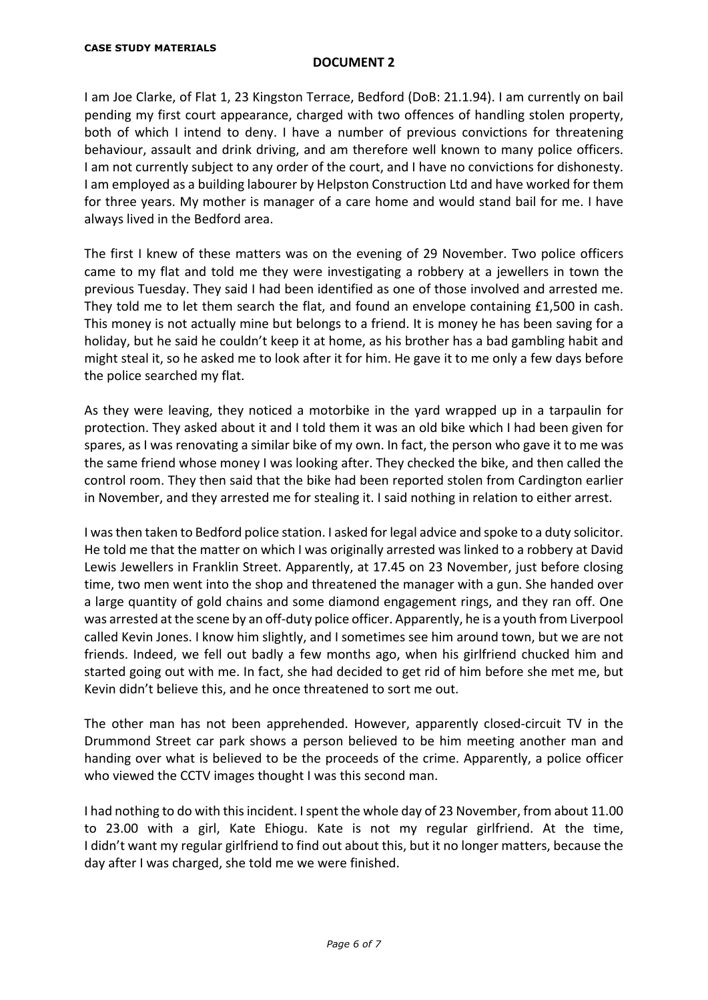### **DOCUMENT 2**

I am Joe Clarke, of Flat 1, 23 Kingston Terrace, Bedford (DoB: 21.1.94). I am currently on bail pending my first court appearance, charged with two offences of handling stolen property, both of which I intend to deny. I have a number of previous convictions for threatening behaviour, assault and drink driving, and am therefore well known to many police officers. I am not currently subject to any order of the court, and I have no convictions for dishonesty. I am employed as a building labourer by Helpston Construction Ltd and have worked for them for three years. My mother is manager of a care home and would stand bail for me. I have always lived in the Bedford area.

The first I knew of these matters was on the evening of 29 November. Two police officers came to my flat and told me they were investigating a robbery at a jewellers in town the previous Tuesday. They said I had been identified as one of those involved and arrested me. They told me to let them search the flat, and found an envelope containing £1,500 in cash. This money is not actually mine but belongs to a friend. It is money he has been saving for a holiday, but he said he couldn't keep it at home, as his brother has a bad gambling habit and might steal it, so he asked me to look after it for him. He gave it to me only a few days before the police searched my flat.

As they were leaving, they noticed a motorbike in the yard wrapped up in a tarpaulin for protection. They asked about it and I told them it was an old bike which I had been given for spares, as I was renovating a similar bike of my own. In fact, the person who gave it to me was the same friend whose money I was looking after. They checked the bike, and then called the control room. They then said that the bike had been reported stolen from Cardington earlier in November, and they arrested me for stealing it. I said nothing in relation to either arrest.

I was then taken to Bedford police station. I asked for legal advice and spoke to a duty solicitor. He told me that the matter on which I was originally arrested was linked to a robbery at David Lewis Jewellers in Franklin Street. Apparently, at 17.45 on 23 November, just before closing time, two men went into the shop and threatened the manager with a gun. She handed over a large quantity of gold chains and some diamond engagement rings, and they ran off. One was arrested at the scene by an off-duty police officer. Apparently, he is a youth from Liverpool called Kevin Jones. I know him slightly, and I sometimes see him around town, but we are not friends. Indeed, we fell out badly a few months ago, when his girlfriend chucked him and started going out with me. In fact, she had decided to get rid of him before she met me, but Kevin didn't believe this, and he once threatened to sort me out.

The other man has not been apprehended. However, apparently closed-circuit TV in the Drummond Street car park shows a person believed to be him meeting another man and handing over what is believed to be the proceeds of the crime. Apparently, a police officer who viewed the CCTV images thought I was this second man.

I had nothing to do with this incident. I spent the whole day of 23 November, from about 11.00 to 23.00 with a girl, Kate Ehiogu. Kate is not my regular girlfriend. At the time, I didn't want my regular girlfriend to find out about this, but it no longer matters, because the day after I was charged, she told me we were finished.